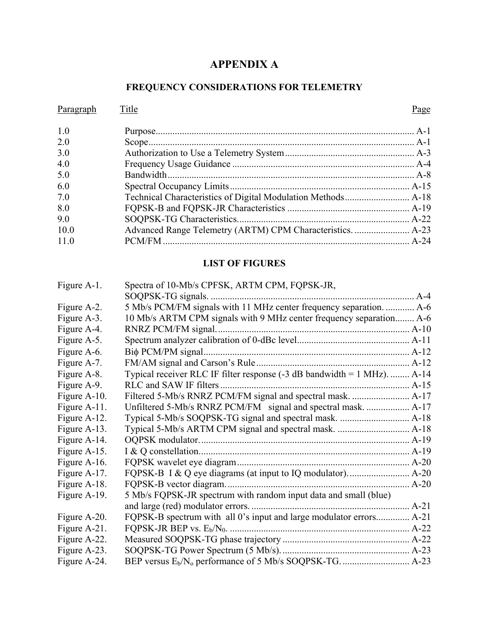# **APPENDIX A**

## **FREQUENCY CONSIDERATIONS FOR TELEMETRY**

| Paragraph | Title | Page |
|-----------|-------|------|
| 1.0       |       |      |
| 2.0       |       |      |
| 3.0       |       |      |
| 4.0       |       |      |
| 5.0       |       |      |
| 6.0       |       |      |
| 7.0       |       |      |
| 8.0       |       |      |
| 9.0       |       |      |
| 10.0      |       |      |
| 11.0      |       |      |

### **LIST OF FIGURES**

| Figure A-1.  | Spectra of 10-Mb/s CPFSK, ARTM CPM, FQPSK-JR,                            |  |
|--------------|--------------------------------------------------------------------------|--|
|              |                                                                          |  |
| Figure A-2.  | 5 Mb/s PCM/FM signals with 11 MHz center frequency separation.  A-6      |  |
| Figure A-3.  | 10 Mb/s ARTM CPM signals with 9 MHz center frequency separation A-6      |  |
| Figure A-4.  |                                                                          |  |
| Figure A-5.  |                                                                          |  |
| Figure A-6.  |                                                                          |  |
| Figure A-7.  |                                                                          |  |
| Figure A-8.  | Typical receiver RLC IF filter response (-3 dB bandwidth = 1 MHz).  A-14 |  |
| Figure A-9.  |                                                                          |  |
| Figure A-10. |                                                                          |  |
| Figure A-11. | Unfiltered 5-Mb/s RNRZ PCM/FM signal and spectral mask.  A-17            |  |
| Figure A-12. |                                                                          |  |
| Figure A-13. |                                                                          |  |
| Figure A-14. |                                                                          |  |
| Figure A-15. |                                                                          |  |
| Figure A-16. |                                                                          |  |
| Figure A-17. |                                                                          |  |
| Figure A-18. |                                                                          |  |
| Figure A-19. | 5 Mb/s FQPSK-JR spectrum with random input data and small (blue)         |  |
|              |                                                                          |  |
| Figure A-20. | FQPSK-B spectrum with all 0's input and large modulator errors A-21      |  |
| Figure A-21. |                                                                          |  |
| Figure A-22. |                                                                          |  |
| Figure A-23. |                                                                          |  |
| Figure A-24. |                                                                          |  |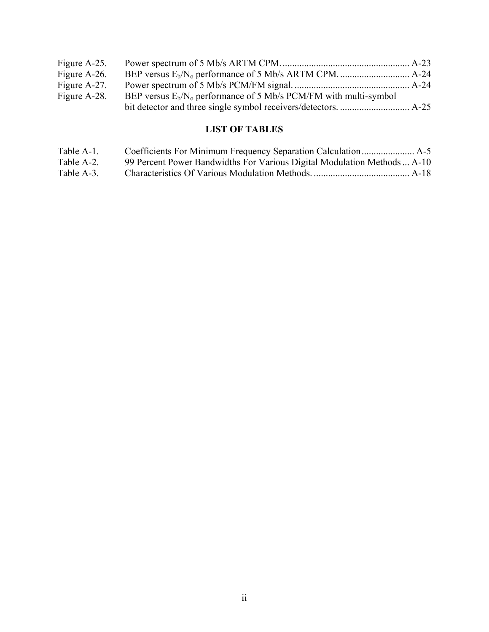| Figure A-25. |                                                                     |  |
|--------------|---------------------------------------------------------------------|--|
| Figure A-26. |                                                                     |  |
| Figure A-27. |                                                                     |  |
| Figure A-28. | BEP versus $E_b/N_o$ performance of 5 Mb/s PCM/FM with multi-symbol |  |
|              |                                                                     |  |

## **LIST OF TABLES**

| Table A-1. |                                                                          |  |
|------------|--------------------------------------------------------------------------|--|
| Table A-2. | 99 Percent Power Bandwidths For Various Digital Modulation Methods  A-10 |  |
| Table A-3. |                                                                          |  |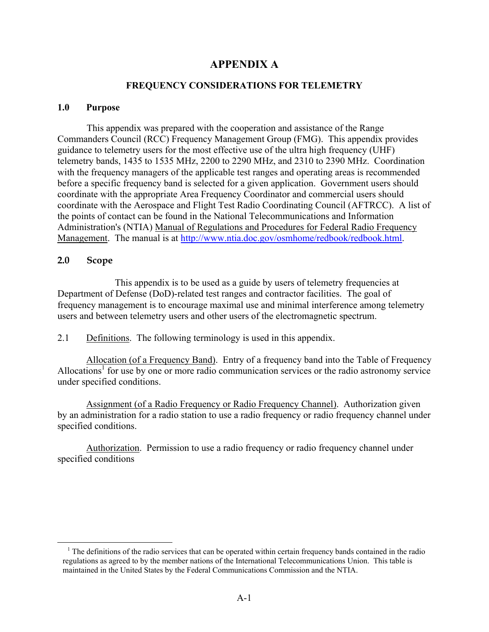### **APPENDIX A**

#### **FREQUENCY CONSIDERATIONS FOR TELEMETRY**

#### <span id="page-2-0"></span>**1.0 Purpose**

This appendix was prepared with the cooperation and assistance of the Range Commanders Council (RCC) Frequency Management Group (FMG). This appendix provides guidance to telemetry users for the most effective use of the ultra high frequency (UHF) telemetry bands, 1435 to 1535 MHz, 2200 to 2290 MHz, and 2310 to 2390 MHz. Coordination with the frequency managers of the applicable test ranges and operating areas is recommended before a specific frequency band is selected for a given application. Government users should coordinate with the appropriate Area Frequency Coordinator and commercial users should coordinate with the Aerospace and Flight Test Radio Coordinating Council (AFTRCC). A list of the points of contact can be found in the National Telecommunications and Information Administration's (NTIA) Manual of Regulations and Procedures for Federal Radio Frequency Management. The manual is at [http://www.ntia.doc.gov/osmhome/redbook/redbook.html.](http://www.ntia.doc.gov/osmhome/redbook/redbook.html)

#### **2.0 Scope**

 $\overline{a}$ 

This appendix is to be used as a guide by users of telemetry frequencies at Department of Defense (DoD)-related test ranges and contractor facilities. The goal of frequency management is to encourage maximal use and minimal interference among telemetry users and between telemetry users and other users of the electromagnetic spectrum.

2.1 Definitions. The following terminology is used in this appendix.

Allocation (of a Frequency Band). Entry of a frequency band into the Table of Frequency Allocations<sup>1</sup> for use by one or more radio communication services or the radio astronomy service under specified conditions.

Assignment (of a Radio Frequency or Radio Frequency Channel). Authorization given by an administration for a radio station to use a radio frequency or radio frequency channel under specified conditions.

Authorization. Permission to use a radio frequency or radio frequency channel under specified conditions

<span id="page-2-1"></span><sup>&</sup>lt;sup>1</sup> The definitions of the radio services that can be operated within certain frequency bands contained in the radio regulations as agreed to by the member nations of the International Telecommunications Union. This table is maintained in the United States by the Federal Communications Commission and the NTIA.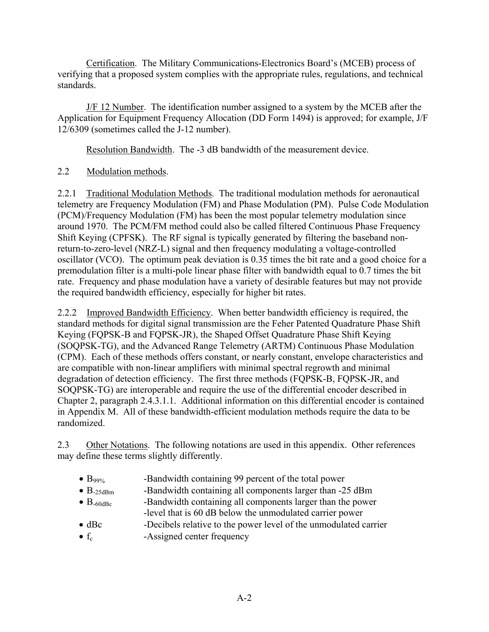Certification. The Military Communications-Electronics Board's (MCEB) process of verifying that a proposed system complies with the appropriate rules, regulations, and technical standards.

J/F 12 Number. The identification number assigned to a system by the MCEB after the Application for Equipment Frequency Allocation (DD Form 1494) is approved; for example, J/F 12/6309 (sometimes called the J-12 number).

Resolution Bandwidth. The -3 dB bandwidth of the measurement device.

### 2.2 Modulation methods.

2.2.1 Traditional Modulation Methods. The traditional modulation methods for aeronautical telemetry are Frequency Modulation (FM) and Phase Modulation (PM). Pulse Code Modulation (PCM)/Frequency Modulation (FM) has been the most popular telemetry modulation since around 1970. The PCM/FM method could also be called filtered Continuous Phase Frequency Shift Keying (CPFSK). The RF signal is typically generated by filtering the baseband nonreturn-to-zero-level (NRZ-L) signal and then frequency modulating a voltage-controlled oscillator (VCO). The optimum peak deviation is 0.35 times the bit rate and a good choice for a premodulation filter is a multi-pole linear phase filter with bandwidth equal to 0.7 times the bit rate. Frequency and phase modulation have a variety of desirable features but may not provide the required bandwidth efficiency, especially for higher bit rates.

2.2.2 Improved Bandwidth Efficiency. When better bandwidth efficiency is required, the standard methods for digital signal transmission are the Feher Patented Quadrature Phase Shift Keying (FQPSK-B and FQPSK-JR), the Shaped Offset Quadrature Phase Shift Keying (SOQPSK-TG), and the Advanced Range Telemetry (ARTM) Continuous Phase Modulation (CPM). Each of these methods offers constant, or nearly constant, envelope characteristics and are compatible with non-linear amplifiers with minimal spectral regrowth and minimal degradation of detection efficiency. The first three methods (FQPSK-B, FQPSK-JR, and SOQPSK-TG) are interoperable and require the use of the differential encoder described in Chapter 2, paragraph 2.4.3.1.1. Additional information on this differential encoder is contained in Appendix M. All of these bandwidth-efficient modulation methods require the data to be randomized.

2.3 Other Notations. The following notations are used in this appendix. Other references may define these terms slightly differently.

- $\bullet$  B<sub>99%</sub> -Bandwidth containing 99 percent of the total power
- $B_{25dBm}$  -Bandwidth containing all components larger than  $-25$  dBm
- $\bullet$  B<sub>-60dBc</sub> -Bandwidth containing all components larger than the power -level that is 60 dB below the unmodulated carrier power
- dBc -Decibels relative to the power level of the unmodulated carrier
- $f_c$  -Assigned center frequency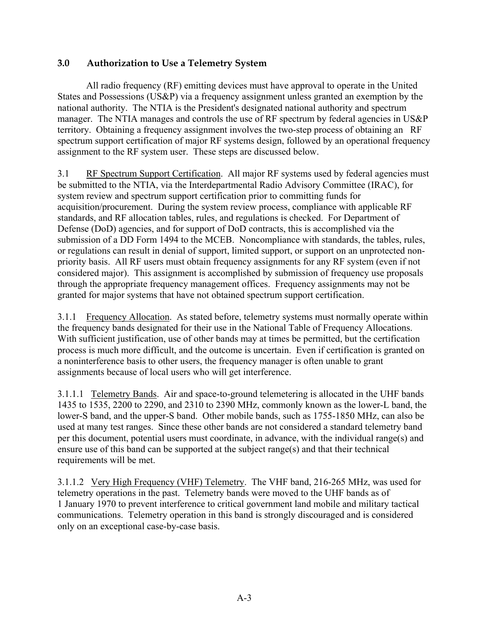### <span id="page-4-0"></span>**3.0 Authorization to Use a Telemetry System**

All radio frequency (RF) emitting devices must have approval to operate in the United States and Possessions (US&P) via a frequency assignment unless granted an exemption by the national authority. The NTIA is the President's designated national authority and spectrum manager. The NTIA manages and controls the use of RF spectrum by federal agencies in US&P territory. Obtaining a frequency assignment involves the two-step process of obtaining an RF spectrum support certification of major RF systems design, followed by an operational frequency assignment to the RF system user. These steps are discussed below.

3.1 RF Spectrum Support Certification. All major RF systems used by federal agencies must be submitted to the NTIA, via the Interdepartmental Radio Advisory Committee (IRAC), for system review and spectrum support certification prior to committing funds for acquisition/procurement. During the system review process, compliance with applicable RF standards, and RF allocation tables, rules, and regulations is checked. For Department of Defense (DoD) agencies, and for support of DoD contracts, this is accomplished via the submission of a DD Form 1494 to the MCEB. Noncompliance with standards, the tables, rules, or regulations can result in denial of support, limited support, or support on an unprotected nonpriority basis. All RF users must obtain frequency assignments for any RF system (even if not considered major). This assignment is accomplished by submission of frequency use proposals through the appropriate frequency management offices. Frequency assignments may not be granted for major systems that have not obtained spectrum support certification.

3.1.1 Frequency Allocation. As stated before, telemetry systems must normally operate within the frequency bands designated for their use in the National Table of Frequency Allocations. With sufficient justification, use of other bands may at times be permitted, but the certification process is much more difficult, and the outcome is uncertain. Even if certification is granted on a noninterference basis to other users, the frequency manager is often unable to grant assignments because of local users who will get interference.

3.1.1.1 Telemetry Bands. Air and space-to-ground telemetering is allocated in the UHF bands 1435 to 1535, 2200 to 2290, and 2310 to 2390 MHz, commonly known as the lower-L band, the lower-S band, and the upper-S band. Other mobile bands, such as 1755-1850 MHz, can also be used at many test ranges. Since these other bands are not considered a standard telemetry band per this document, potential users must coordinate, in advance, with the individual range(s) and ensure use of this band can be supported at the subject range(s) and that their technical requirements will be met.

3.1.1.2 Very High Frequency (VHF) Telemetry. The VHF band, 216-265 MHz, was used for telemetry operations in the past. Telemetry bands were moved to the UHF bands as of 1 January 1970 to prevent interference to critical government land mobile and military tactical communications. Telemetry operation in this band is strongly discouraged and is considered only on an exceptional case-by-case basis.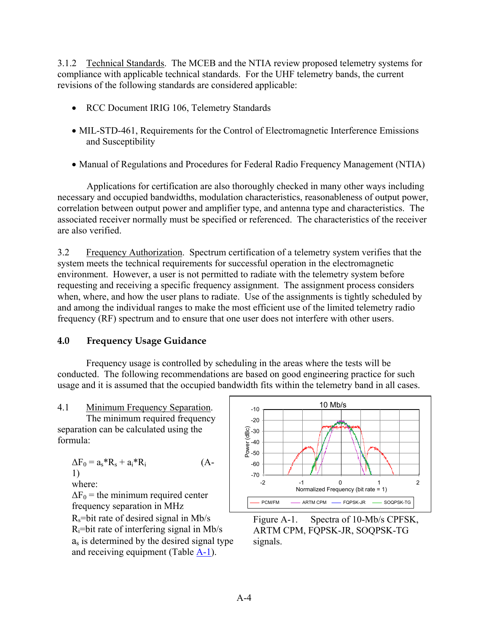<span id="page-5-0"></span>3.1.2 Technical Standards. The MCEB and the NTIA review proposed telemetry systems for compliance with applicable technical standards. For the UHF telemetry bands, the current revisions of the following standards are considered applicable:

- RCC Document IRIG 106, Telemetry Standards
- MIL-STD-461, Requirements for the Control of Electromagnetic Interference Emissions and Susceptibility
- Manual of Regulations and Procedures for Federal Radio Frequency Management (NTIA)

Applications for certification are also thoroughly checked in many other ways including necessary and occupied bandwidths, modulation characteristics, reasonableness of output power, correlation between output power and amplifier type, and antenna type and characteristics. The associated receiver normally must be specified or referenced. The characteristics of the receiver are also verified.

3.2 Frequency Authorization. Spectrum certification of a telemetry system verifies that the system meets the technical requirements for successful operation in the electromagnetic environment. However, a user is not permitted to radiate with the telemetry system before requesting and receiving a specific frequency assignment. The assignment process considers when, where, and how the user plans to radiate. Use of the assignments is tightly scheduled by and among the individual ranges to make the most efficient use of the limited telemetry radio frequency (RF) spectrum and to ensure that one user does not interfere with other users.

### **4.0 Frequency Usage Guidance**

Frequency usage is controlled by scheduling in the areas where the tests will be conducted. The following recommendations are based on good engineering practice for such usage and it is assumed that the occupied bandwidth fits within the telemetry band in all cases.

### 4.1 Minimum Frequency Separation. |  $_{-10}$  10 mb/s

The minimum required frequency separation can be calculated using the formula:

 $\Delta F_0 = a_s * R_s + a_i * R_i$  (A-1)

$$
\quad\text{where}\quad %
$$

 $\Delta F_0$  = the minimum required center frequency separation in MHz  $R_s$ =bit rate of desired signal in Mb/s Figure A-1. Spectra of 10-Mb/s CPFSK,  $R_i$ =bit rate of interfering signal in Mb/s as is determined by the desired signal type and receiving equipment (Table  $\underline{A-1}$ ).



ARTM CPM, FQPSK-JR, SOQPSK-TG signals.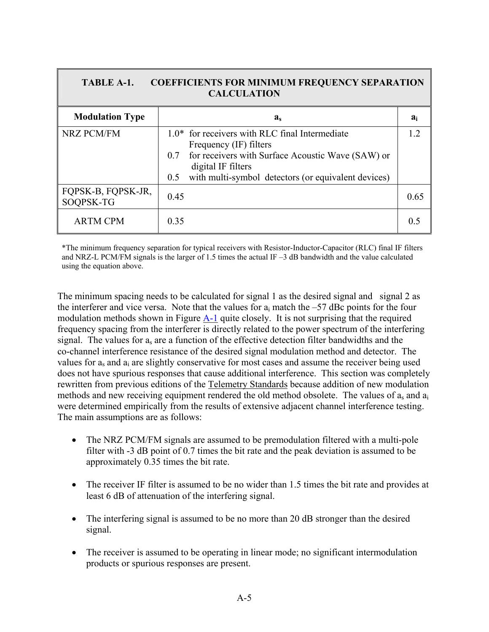<span id="page-6-0"></span>

| <b>TABLE A-1.</b><br><b>COEFFICIENTS FOR MINIMUM FREQUENCY SEPARATION</b><br><b>CALCULATION</b> |                                                                                                                                                                                                                            |       |  |
|-------------------------------------------------------------------------------------------------|----------------------------------------------------------------------------------------------------------------------------------------------------------------------------------------------------------------------------|-------|--|
| <b>Modulation Type</b>                                                                          | $a_{s}$                                                                                                                                                                                                                    | $a_i$ |  |
| <b>NRZ PCM/FM</b>                                                                               | $1.0*$ for receivers with RLC final Intermediate<br>Frequency (IF) filters<br>for receivers with Surface Acoustic Wave (SAW) or<br>0.7<br>digital IF filters<br>with multi-symbol detectors (or equivalent devices)<br>0.5 | 12    |  |
| FQPSK-B, FQPSK-JR,<br>SOQPSK-TG                                                                 | 0.45                                                                                                                                                                                                                       | 0.65  |  |
| <b>ARTM CPM</b>                                                                                 | 0.35                                                                                                                                                                                                                       |       |  |

\*The minimum frequency separation for typical receivers with Resistor-Inductor-Capacitor (RLC) final IF filters and NRZ-L PCM/FM signals is the larger of 1.5 times the actual IF –3 dB bandwidth and the value calculated using the equation above.

The minimum spacing needs to be calculated for signal 1 as the desired signal and signal 2 as the interferer and vice versa. Note that the values for  $a_i$  match the –57 dBc points for the four modulation methods shown in Figure [A-1](#page-5-0) quite closely. It is not surprising that the required frequency spacing from the interferer is directly related to the power spectrum of the interfering signal. The values for  $a_s$  are a function of the effective detection filter bandwidths and the co-channel interference resistance of the desired signal modulation method and detector. The values for as and ai are slightly conservative for most cases and assume the receiver being used does not have spurious responses that cause additional interference. This section was completely rewritten from previous editions of the Telemetry Standards because addition of new modulation methods and new receiving equipment rendered the old method obsolete. The values of as and ai were determined empirically from the results of extensive adjacent channel interference testing. The main assumptions are as follows:

- The NRZ PCM/FM signals are assumed to be premodulation filtered with a multi-pole filter with -3 dB point of 0.7 times the bit rate and the peak deviation is assumed to be approximately 0.35 times the bit rate.
- The receiver IF filter is assumed to be no wider than 1.5 times the bit rate and provides at least 6 dB of attenuation of the interfering signal.
- The interfering signal is assumed to be no more than 20 dB stronger than the desired signal.
- The receiver is assumed to be operating in linear mode; no significant intermodulation products or spurious responses are present.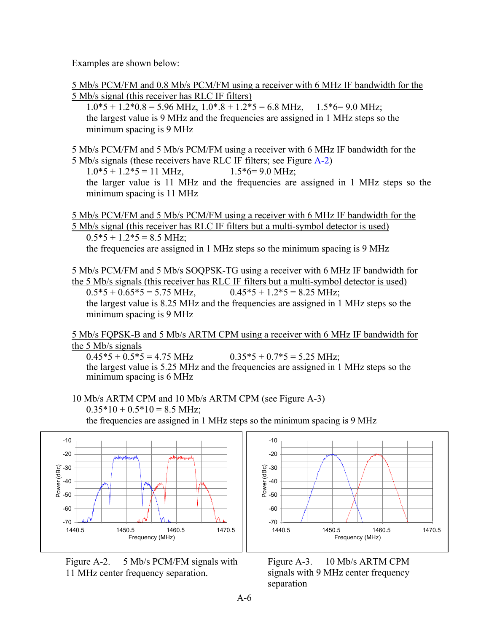<span id="page-7-0"></span>Examples are shown below:

5 Mb/s PCM/FM and 0.8 Mb/s PCM/FM using a receiver with 6 MHz IF bandwidth for the 5 Mb/s signal (this receiver has RLC IF filters)

 $1.0*5 + 1.2*0.8 = 5.96 \text{ MHz}, 1.0*8 + 1.2*5 = 6.8 \text{ MHz}, 1.5*6 = 9.0 \text{ MHz}.$ the largest value is 9 MHz and the frequencies are assigned in 1 MHz steps so the minimum spacing is 9 MHz

5 Mb/s PCM/FM and 5 Mb/s PCM/FM using a receiver with 6 MHz IF bandwidth for the 5 Mb/s signals (these receivers have RLC IF filters; see Figure [A-2](#page-7-0))

 $1.0*5 + 1.2*5 = 11$  MHz,  $1.5*6 = 9.0$  MHz; the larger value is 11 MHz and the frequencies are assigned in 1 MHz steps so the minimum spacing is 11 MHz

5 Mb/s PCM/FM and 5 Mb/s PCM/FM using a receiver with 6 MHz IF bandwidth for the 5 Mb/s signal (this receiver has RLC IF filters but a multi-symbol detector is used)  $0.5*5 + 1.2*5 = 8.5$  MHz;

the frequencies are assigned in 1 MHz steps so the minimum spacing is 9 MHz

5 Mb/s PCM/FM and 5 Mb/s SOQPSK-TG using a receiver with 6 MHz IF bandwidth for the 5 Mb/s signals (this receiver has RLC IF filters but a multi-symbol detector is used)  $0.5*5 + 0.65*5 = 5.75 \text{ MHz}$ ,  $0.45*5 + 1.2*5 = 8.25 \text{ MHz}$ ; the largest value is 8.25 MHz and the frequencies are assigned in 1 MHz steps so the minimum spacing is 9 MHz

5 Mb/s FQPSK-B and 5 Mb/s ARTM CPM using a receiver with 6 MHz IF bandwidth for the 5 Mb/s signals<br>0.45\*5 + 0.5\*5 = 4.75 MHz

 $0.35*5 + 0.7*5 = 5.25 \text{ MHz}$ ; the largest value is 5.25 MHz and the frequencies are assigned in 1 MHz steps so the minimum spacing is 6 MHz

10 Mb/s ARTM CPM and 10 Mb/s ARTM CPM (see Figure A-3)

 $0.35*10 + 0.5*10 = 8.5$  MHz;

the frequencies are assigned in 1 MHz steps so the minimum spacing is 9 MHz



Figure A-2. 5 Mb/s PCM/FM signals with 11 MHz center frequency separation.



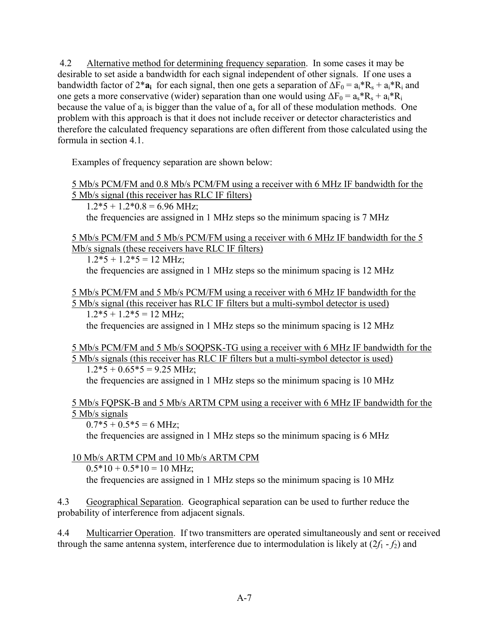4.2 Alternative method for determining frequency separation. In some cases it may be desirable to set aside a bandwidth for each signal independent of other signals. If one uses a bandwidth factor of 2<sup>\*</sup>**a**<sub>i</sub> for each signal, then one gets a separation of  $\Delta F_0 = a_i^*R_s + a_i^*R_i$  and one gets a more conservative (wider) separation than one would using  $\Delta F_0 = a_s * R_s + a_i * R_i$ because the value of  $a_i$  is bigger than the value of  $a_s$  for all of these modulation methods. One problem with this approach is that it does not include receiver or detector characteristics and therefore the calculated frequency separations are often different from those calculated using the formula in section 4.1.

Examples of frequency separation are shown below:

5 Mb/s PCM/FM and 0.8 Mb/s PCM/FM using a receiver with 6 MHz IF bandwidth for the 5 Mb/s signal (this receiver has RLC IF filters)

 $1.2*5 + 1.2*0.8 = 6.96$  MHz; the frequencies are assigned in 1 MHz steps so the minimum spacing is 7 MHz

5 Mb/s PCM/FM and 5 Mb/s PCM/FM using a receiver with 6 MHz IF bandwidth for the 5 Mb/s signals (these receivers have RLC IF filters)

 $1.2*5 + 1.2*5 = 12 \text{ MHz}$ ; the frequencies are assigned in 1 MHz steps so the minimum spacing is 12 MHz

5 Mb/s PCM/FM and 5 Mb/s PCM/FM using a receiver with 6 MHz IF bandwidth for the 5 Mb/s signal (this receiver has RLC IF filters but a multi-symbol detector is used)  $1.2*5 + 1.2*5 = 12 \text{ MHz}$ ;

the frequencies are assigned in 1 MHz steps so the minimum spacing is 12 MHz

5 Mb/s PCM/FM and 5 Mb/s SOQPSK-TG using a receiver with 6 MHz IF bandwidth for the 5 Mb/s signals (this receiver has RLC IF filters but a multi-symbol detector is used)  $1.2*5 + 0.65*5 = 9.25$  MHz;

the frequencies are assigned in 1 MHz steps so the minimum spacing is 10 MHz

#### 5 Mb/s FQPSK-B and 5 Mb/s ARTM CPM using a receiver with 6 MHz IF bandwidth for the 5 Mb/s signals

 $0.7*5 + 0.5*5 = 6$  MHz;

the frequencies are assigned in 1 MHz steps so the minimum spacing is 6 MHz

### 10 Mb/s ARTM CPM and 10 Mb/s ARTM CPM

 $0.5*10 + 0.5*10 = 10$  MHz;

the frequencies are assigned in 1 MHz steps so the minimum spacing is 10 MHz

4.3 Geographical Separation. Geographical separation can be used to further reduce the probability of interference from adjacent signals.

4.4 Multicarrier Operation. If two transmitters are operated simultaneously and sent or received through the same antenna system, interference due to intermodulation is likely at  $(2f_1 - f_2)$  and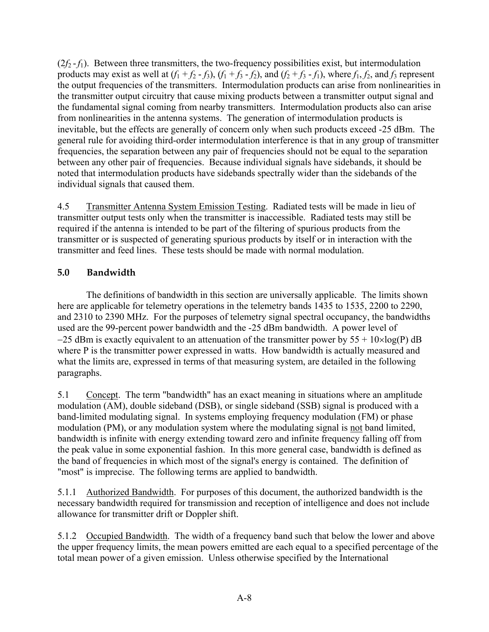<span id="page-9-0"></span> $(2f_2 - f_1)$ . Between three transmitters, the two-frequency possibilities exist, but intermodulation products may exist as well at  $(f_1 + f_2 - f_3)$ ,  $(f_1 + f_3 - f_2)$ , and  $(f_2 + f_3 - f_1)$ , where  $f_1, f_2$ , and  $f_3$  represent the output frequencies of the transmitters. Intermodulation products can arise from nonlinearities in the transmitter output circuitry that cause mixing products between a transmitter output signal and the fundamental signal coming from nearby transmitters. Intermodulation products also can arise from nonlinearities in the antenna systems. The generation of intermodulation products is inevitable, but the effects are generally of concern only when such products exceed -25 dBm. The general rule for avoiding third-order intermodulation interference is that in any group of transmitter frequencies, the separation between any pair of frequencies should not be equal to the separation between any other pair of frequencies. Because individual signals have sidebands, it should be noted that intermodulation products have sidebands spectrally wider than the sidebands of the individual signals that caused them.

4.5 Transmitter Antenna System Emission Testing. Radiated tests will be made in lieu of transmitter output tests only when the transmitter is inaccessible. Radiated tests may still be required if the antenna is intended to be part of the filtering of spurious products from the transmitter or is suspected of generating spurious products by itself or in interaction with the transmitter and feed lines. These tests should be made with normal modulation.

### **5.0 Bandwidth**

The definitions of bandwidth in this section are universally applicable. The limits shown here are applicable for telemetry operations in the telemetry bands 1435 to 1535, 2200 to 2290, and 2310 to 2390 MHz. For the purposes of telemetry signal spectral occupancy, the bandwidths used are the 99-percent power bandwidth and the -25 dBm bandwidth. A power level of  $-25$  dBm is exactly equivalent to an attenuation of the transmitter power by  $55 + 10 \times \log(P)$  dB where P is the transmitter power expressed in watts. How bandwidth is actually measured and what the limits are, expressed in terms of that measuring system, are detailed in the following paragraphs.

5.1 Concept. The term "bandwidth" has an exact meaning in situations where an amplitude modulation (AM), double sideband (DSB), or single sideband (SSB) signal is produced with a band-limited modulating signal. In systems employing frequency modulation (FM) or phase modulation (PM), or any modulation system where the modulating signal is not band limited, bandwidth is infinite with energy extending toward zero and infinite frequency falling off from the peak value in some exponential fashion. In this more general case, bandwidth is defined as the band of frequencies in which most of the signal's energy is contained. The definition of "most" is imprecise. The following terms are applied to bandwidth.

5.1.1 Authorized Bandwidth. For purposes of this document, the authorized bandwidth is the necessary bandwidth required for transmission and reception of intelligence and does not include allowance for transmitter drift or Doppler shift.

5.1.2 Occupied Bandwidth. The width of a frequency band such that below the lower and above the upper frequency limits, the mean powers emitted are each equal to a specified percentage of the total mean power of a given emission. Unless otherwise specified by the International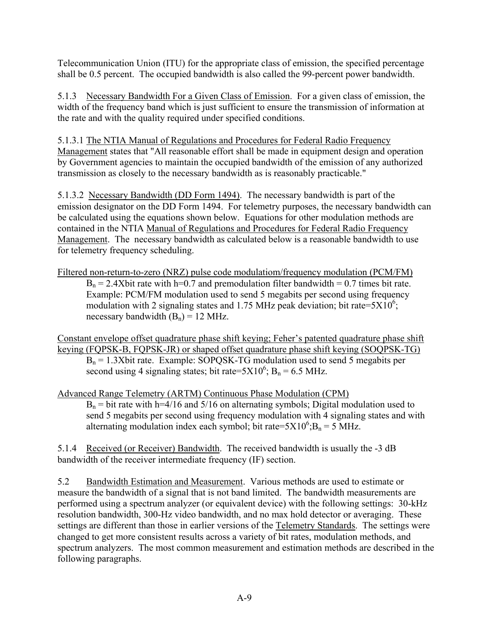Telecommunication Union (ITU) for the appropriate class of emission, the specified percentage shall be 0.5 percent. The occupied bandwidth is also called the 99-percent power bandwidth.

5.1.3 Necessary Bandwidth For a Given Class of Emission. For a given class of emission, the width of the frequency band which is just sufficient to ensure the transmission of information at the rate and with the quality required under specified conditions.

5.1.3.1 The NTIA Manual of Regulations and Procedures for Federal Radio Frequency Management states that "All reasonable effort shall be made in equipment design and operation by Government agencies to maintain the occupied bandwidth of the emission of any authorized transmission as closely to the necessary bandwidth as is reasonably practicable."

5.1.3.2 Necessary Bandwidth (DD Form 1494). The necessary bandwidth is part of the emission designator on the DD Form 1494. For telemetry purposes, the necessary bandwidth can be calculated using the equations shown below. Equations for other modulation methods are contained in the NTIA Manual of Regulations and Procedures for Federal Radio Frequency Management. The necessary bandwidth as calculated below is a reasonable bandwidth to use for telemetry frequency scheduling.

Filtered non-return-to-zero (NRZ) pulse code modulatiom/frequency modulation (PCM/FM)  $B_n = 2.4X$ bit rate with h=0.7 and premodulation filter bandwidth = 0.7 times bit rate. Example: PCM/FM modulation used to send 5 megabits per second using frequency modulation with 2 signaling states and 1.75 MHz peak deviation; bit rate= $5X10^6$ ; necessary bandwidth  $(B_n) = 12 \text{ MHz}$ .

Constant envelope offset quadrature phase shift keying; Feher's patented quadrature phase shift keying (FQPSK-B, FQPSK-JR) or shaped offset quadrature phase shift keying (SOQPSK-TG)  $B_n = 1.3X$ bit rate. Example: SOPOSK-TG modulation used to send 5 megabits per second using 4 signaling states; bit rate= $5X10^6$ ; B<sub>n</sub> = 6.5 MHz.

Advanced Range Telemetry (ARTM) Continuous Phase Modulation (CPM)  $B_n$  = bit rate with h=4/16 and 5/16 on alternating symbols; Digital modulation used to send 5 megabits per second using frequency modulation with 4 signaling states and with alternating modulation index each symbol; bit rate= $5X10^6$ ; B<sub>n</sub> = 5 MHz.

5.1.4 Received (or Receiver) Bandwidth. The received bandwidth is usually the -3 dB bandwidth of the receiver intermediate frequency (IF) section.

5.2 Bandwidth Estimation and Measurement. Various methods are used to estimate or measure the bandwidth of a signal that is not band limited. The bandwidth measurements are performed using a spectrum analyzer (or equivalent device) with the following settings: 30-kHz resolution bandwidth, 300-Hz video bandwidth, and no max hold detector or averaging. These settings are different than those in earlier versions of the Telemetry Standards. The settings were changed to get more consistent results across a variety of bit rates, modulation methods, and spectrum analyzers. The most common measurement and estimation methods are described in the following paragraphs.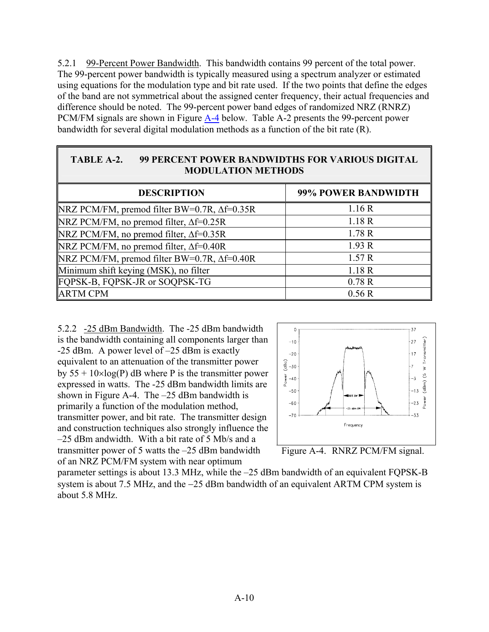<span id="page-11-0"></span>5.2.1 99-Percent Power Bandwidth. This bandwidth contains 99 percent of the total power. The 99-percent power bandwidth is typically measured using a spectrum analyzer or estimated using equations for the modulation type and bit rate used. If the two points that define the edges of the band are not symmetrical about the assigned center frequency, their actual frequencies and difference should be noted. The 99-percent power band edges of randomized NRZ (RNRZ) PCM/FM signals are shown in Figure  $A-4$  below. Table A-2 presents the 99-percent power bandwidth for several digital modulation methods as a function of the bit rate (R).

#### **TABLE A-2. 99 PERCENT POWER BANDWIDTHS FOR VARIOUS DIGITAL MODULATION METHODS**

| <b>DESCRIPTION</b>                                    | 99% POWER BANDWIDTH |
|-------------------------------------------------------|---------------------|
| $NRZ$ PCM/FM, premod filter BW=0.7R, $\Delta f=0.35R$ | 1.16R               |
| NRZ PCM/FM, no premod filter, $\Delta f=0.25R$        | 1.18R               |
| NRZ PCM/FM, no premod filter, $\Delta f=0.35R$        | 1.78R               |
| NRZ PCM/FM, no premod filter, $\Delta f = 0.40R$      | 1.93R               |
| NRZ PCM/FM, premod filter BW=0.7R, $\Delta f=0.40R$   | 1.57R               |
| Minimum shift keying (MSK), no filter                 | 1.18R               |
| FQPSK-B, FQPSK-JR or SOQPSK-TG                        | 0.78R               |
| <b>ARTM CPM</b>                                       | 0.56R               |

5.2.2 -25 dBm Bandwidth. The -25 dBm bandwidth is the bandwidth containing all components larger than -25 dBm. A power level of –25 dBm is exactly equivalent to an attenuation of the transmitter power by  $55 + 10 \times \log(P)$  dB where P is the transmitter power expressed in watts. The -25 dBm bandwidth limits a re shown in Figure A-4. The –25 dBm bandwidth is primarily a function of the modulation method, transmitter power, and bit rate. The transmitte r design and construction techniques also strongly influence t he –25 dBm andwidth. With a bit rate of 5 Mb/s and a transmitter power of 5 watts the –25 dBm bandwidth of an NRZ PCM/FM system with near optimum





parameter settings is about 13.3 MHz, while the –25 d Bm bandwidth of an equivalent FQPSK-B system is about 7.5 MHz, and the −25 dBm bandwidth of an equivalent ARTM CPM system is about 5.8 MHz.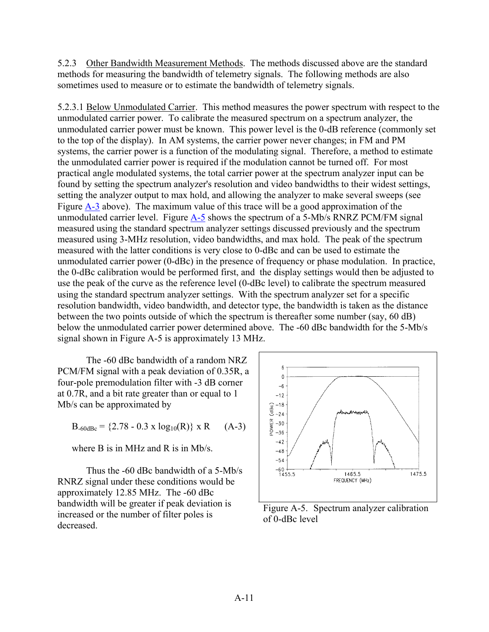<span id="page-12-0"></span>5.2.3 Other Bandwidth Measurement Methods. The methods discussed above are the standard methods for measuring the bandwidth of telemetry signals. The following methods are also sometimes used to measure or to estimate the bandwidth of telemetry signals.

5.2.3.1 Below Unmodulated Carrier. This method measures the power spectrum with respect to the unmodulated carrier power. To calibrate the measured spectrum on a spectrum analyzer, the unmodulated carrier power must be known. This power level is the 0-dB reference (commonly set to the top of the display). In AM systems, the carrier power never changes; in FM and PM systems, the carrier power is a function of the modulating signal. Therefore, a method to estimate the unmodulated carrier power is required if the modulation cannot be turned off. For most practical angle modulated systems, the total carrier power at the spectrum analyzer input can be found by setting the spectrum analyzer's resolution and video bandwidths to their widest settings, setting the analyzer output to max hold, and allowing the analyzer to make several sweeps (see Figure [A-3](#page-7-0) above). The maximum value of this trace will be a good approximation of the unmodulated carrier level. Figure [A-5](#page-12-0) shows the spectrum of a 5-Mb/s RNRZ PCM/FM signal measured using the standard spectrum analyzer settings discussed previously and the spectrum measured using 3-MHz resolution, video bandwidths, and max hold. The peak of the spectrum measured with the latter conditions is very close to 0-dBc and can be used to estimate the unmodulated carrier power (0-dBc) in the presence of frequency or phase modulation. In practice, the 0-dBc calibration would be performed first, and the display settings would then be adjusted to use the peak of the curve as the reference level (0-dBc level) to calibrate the spectrum measured using the standard spectrum analyzer settings. With the spectrum analyzer set for a specific resolution bandwidth, video bandwidth, and detector type, the bandwidth is taken as the distance between the two points outside of which the spectrum is thereafter some number (say, 60 dB) below the unmodulated carrier power determined above. The -60 dBc bandwidth for the 5-Mb/s signal shown in Figure A-5 is approximately 13 MHz.

The -60 dBc bandwidth of a random NRZ PCM/FM signal with a peak deviation of 0.35R, a four-pole premodulation filter with -3 dB corner at 0.7R, and a bit rate greater than or equal to 1 Mb/s can be approximated by

 $B_{-60dBe} = \{2.78 - 0.3 \times \log_{10}(R)\}\times R$  (A-3)

where B is in MHz and R is in Mb/s.

Thus the -60 dBc bandwidth of a 5-Mb/s RNRZ signal under these conditions would be approximately 12.85 MHz. The -60 dBc bandwidth will be greater if peak deviation is increased or the number of filter poles is decreased.



Figure A-5. Spectrum analyzer calibration of 0-dBc level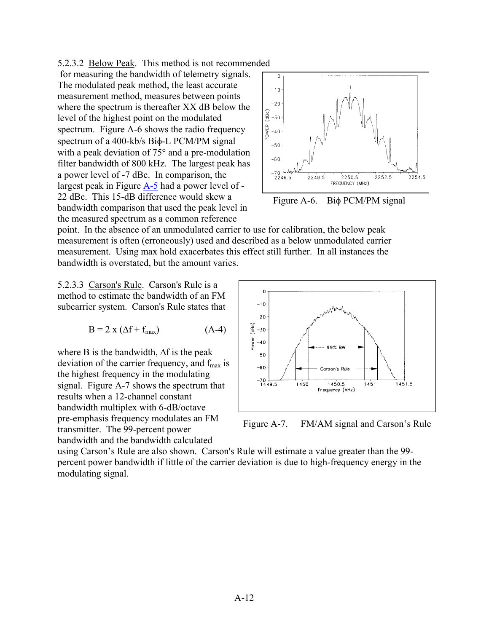<span id="page-13-0"></span>5.2.3.2 Below Peak. This method is not recommended

 for measuring the bandwidth of telemetry signals. The modulated peak method, the least accurate measurement method, measures between points where the spectrum is thereafter XX dB below the level of the highest point on the modulated spectrum. Figure A-6 shows the radio frequency spectrum of a 400-kb/s Biφ-L PCM/PM signal with a peak deviation of 75° and a pre-modulation filter bandwidth of 800 kHz. The largest peak has a power level of -7 dBc. In comparison, the largest peak in Figure [A-5](#page-12-0) had a power level of - 22 dBc. This 15-dB difference would skew a bandwidth comparison that used the peak level in the measured spectrum as a common reference



point. In the absence of an unmodulated carrier to use for calibration, the below peak measurement is often (erroneously) used and described as a below unmodulated carrier measurement. Using max hold exacerbates this effect still further. In all instances the bandwidth is overstated, but the amount varies.

5.2.3.3 Carson's Rule. Carson's Rule is a method to estimate the bandwidth of an FM subcarrier system. Carson's Rule states that

$$
B = 2 x (\Delta f + f_{max})
$$
 (A-4)

where B is the bandwidth, ∆f is the peak deviation of the carrier frequency, and  $f_{\text{max}}$  is the highest frequency in the modulating signal. Figure A-7 shows the spectrum that results when a 12-channel constant bandwidth multiplex with 6-dB/octave pre-emphasis frequency modulates an FM transmitter. The 99-percent power bandwidth and the bandwidth calculated



Figure A-7. FM/AM signal and Carson's Rule

using Carson's Rule are also shown. Carson's Rule will estimate a value greater than the 99 percent power bandwidth if little of the carrier deviation is due to high-frequency energy in the modulating signal.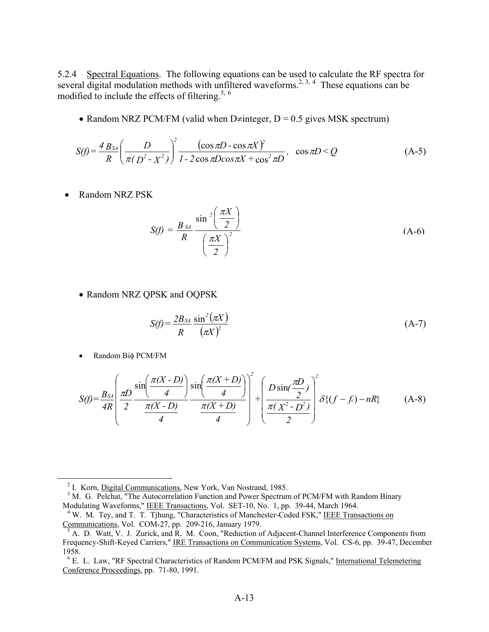5.2.4 Spectral Equations. The following equations can be used to calculate the RF spectra for several digital modulation methods with unfiltered waveforms.<sup>2, [3,](#page-14-1) [4](#page-14-2)</sup> These equations can be modified to include the effects of filtering.<sup>5, [6](#page-14-4)</sup>

• Random NRZ PCM/FM (valid when D≠integer,  $D = 0.5$  gives MSK spectrum)

$$
S(f) = \frac{4 B_{SA}}{R} \left( \frac{D}{\pi (D^2 - X^2)} \right)^2 \frac{(\cos \pi D - \cos \pi X)^2}{1 - 2 \cos \pi D \cos \pi X + \cos^2 \pi D}, \cos \pi D < Q \tag{A-5}
$$

• Random NRZ PSK

$$
S(f) = \frac{B_{SA}}{R} \frac{\sin^2\left(\frac{\pi X}{2}\right)}{\left(\frac{\pi X}{2}\right)^2}
$$
 (A-6)

• Random NRZ QPSK and OQPSK

$$
S(f) = \frac{2B_{SA}}{R} \frac{\sin^2(\pi X)}{(\pi X)^2}
$$
 (A-7)

• Random Biφ PCM/FM

1

$$
S(f) = \frac{B_{S4}}{4R} \left( \frac{\pi D}{2} \frac{\sin\left(\frac{\pi (X - D)}{4}\right)}{\frac{\pi (X - D)}{4}} \frac{\sin\left(\frac{\pi (X + D)}{4}\right)}{\frac{\pi (X + D)}{4}} \right)^2 + \left( \frac{D \sin\left(\frac{\pi D}{2}\right)}{\frac{\pi (X^2 - D^2)}{2}} \right)^2 \delta\left\{ (f - f_c) - nR \right\}
$$
(A-8)

<span id="page-14-0"></span><sup>&</sup>lt;sup>2</sup> I. Korn, Digital Communications, New York, Van Nostrand, 1985.

<span id="page-14-1"></span><sup>&</sup>lt;sup>3</sup> M. G. Pelchat, "The Autocorrelation Function and Power Spectrum of PCM/FM with Random Binary Modulating Waveforms," IEEE Transactions, Vol. SET-10, No. 1, pp. 39-44, March 1964.

<span id="page-14-2"></span><sup>&</sup>lt;sup>4</sup> W. M. Tey, and T. T. Tjhung, "Characteristics of Manchester-Coded FSK," IEEE Transactions on Communications, Vol. COM-27, pp. 209-216, January 1979.

<span id="page-14-3"></span><sup>&</sup>lt;sup>5</sup> A. D. Watt, V. J. Zurick, and R. M. Coon, "Reduction of Adjacent-Channel Interference Components from Frequency-Shift-Keyed Carriers," IRE Transactions on Communication Systems, Vol. CS-6, pp. 39-47, December 1958.

<span id="page-14-4"></span><sup>&</sup>lt;sup>6</sup> E. L. Law, "RF Spectral Characteristics of Random PCM/FM and PSK Signals," International Telemetering Conference Proceedings, pp. 71-80, 1991.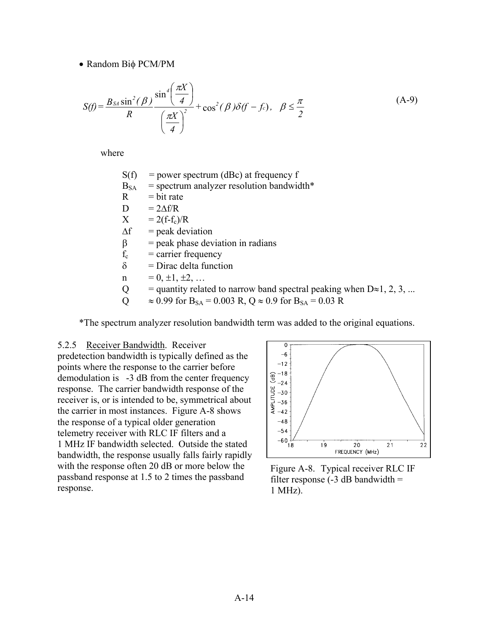<span id="page-15-0"></span>• Random Biφ PCM/PM

$$
S(f) = \frac{B_{SA}\sin^2(\beta)}{R} \frac{\sin^4\left(\frac{\pi X}{4}\right)}{\left(\frac{\pi X}{4}\right)^2} + \cos^2(\beta)\delta(f - f_c), \quad \beta \le \frac{\pi}{2}
$$
 (A-9)

where

| S(f)        | $=$ power spectrum (dBc) at frequency f                                                    |
|-------------|--------------------------------------------------------------------------------------------|
| $B_{SA}$    | $=$ spectrum analyzer resolution bandwidth*                                                |
| R           | $=$ bit rate                                                                               |
| D           | $= 2\Delta f/R$                                                                            |
| X           | $= 2(f-f_c)/R$                                                                             |
| $\Delta f$  | $=$ peak deviation                                                                         |
| β           | $=$ peak phase deviation in radians                                                        |
| $f_c$       | $=$ carrier frequency                                                                      |
| $\delta$    | $=$ Dirac delta function                                                                   |
| $\mathbf n$ | $= 0, \pm 1, \pm 2, \ldots$                                                                |
| Q           | = quantity related to narrow band spectral peaking when $D\approx 1, 2, 3, $               |
| O           | $\approx 0.99$ for B <sub>SA</sub> = 0.003 R, Q $\approx 0.9$ for B <sub>SA</sub> = 0.03 R |
|             |                                                                                            |

\*The spectrum analyzer resolution bandwidth term was added to the original equations.

#### 5.2.5 Receiver Bandwidth. Receiver

predetection bandwidth is typically defined as the points where the response to the carrier before demodulation is -3 dB from the center frequency response. The carrier bandwidth response of the receiver is, or is intended to be, symmetrical about the carrier in most instances. Figure A-8 shows the response of a typical older generation telemetry receiver with RLC IF filters and a 1 MHz IF bandwidth selected. Outside the stated bandwidth, the response usually falls fairly rapidly with the response often 20 dB or more below the passband response at 1.5 to 2 times the passband response.



Figure A-8. Typical receiver RLC IF filter response  $(-3$  dB bandwidth = 1 MHz).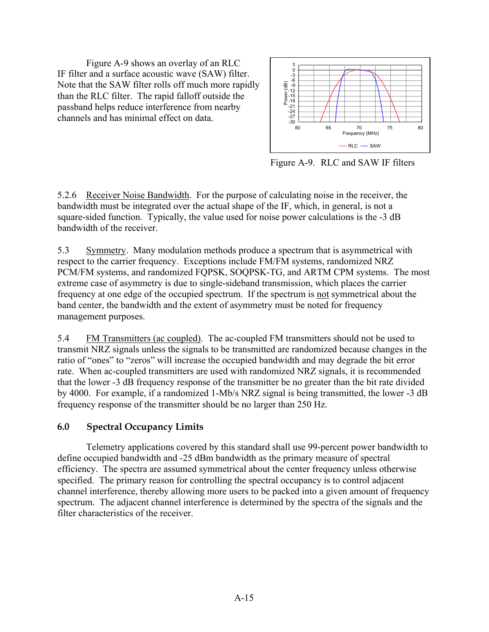<span id="page-16-0"></span> Figure A-9 shows an overlay of an RLC IF filter and a surface acoustic wave (SAW) filter. Note that the SAW filter rolls off much more rapidly than the RLC filter. The rapid falloff outside the passband helps reduce interference from nearby channels and has minimal effect on data.



Figure A-9. RLC and SAW IF filters

5.2.6 Receiver Noise Bandwidth. For the purpose of calculating noise in the receiver, the bandwidth must be integrated over the actual shape of the IF, which, in general, is not a square-sided function. Typically, the value used for noise power calculations is the -3 dB bandwidth of the receiver.

5.3 Symmetry. Many modulation methods produce a spectrum that is asymmetrical with respect to the carrier frequency. Exceptions include FM/FM systems, randomized NRZ PCM/FM systems, and randomized FQPSK, SOQPSK-TG, and ARTM CPM systems. The most extreme case of asymmetry is due to single-sideband transmission, which places the carrier frequency at one edge of the occupied spectrum. If the spectrum is not symmetrical about the band center, the bandwidth and the extent of asymmetry must be noted for frequency management purposes.

5.4 FM Transmitters (ac coupled). The ac-coupled FM transmitters should not be used to transmit NRZ signals unless the signals to be transmitted are randomized because changes in the ratio of "ones" to "zeros" will increase the occupied bandwidth and may degrade the bit error rate. When ac-coupled transmitters are used with randomized NRZ signals, it is recommended that the lower -3 dB frequency response of the transmitter be no greater than the bit rate divided by 4000. For example, if a randomized 1-Mb/s NRZ signal is being transmitted, the lower -3 dB frequency response of the transmitter should be no larger than 250 Hz.

### **6.0 Spectral Occupancy Limits**

Telemetry applications covered by this standard shall use 99-percent power bandwidth to define occupied bandwidth and -25 dBm bandwidth as the primary measure of spectral efficiency. The spectra are assumed symmetrical about the center frequency unless otherwise specified. The primary reason for controlling the spectral occupancy is to control adjacent channel interference, thereby allowing more users to be packed into a given amount of frequency spectrum. The adjacent channel interference is determined by the spectra of the signals and the filter characteristics of the receiver.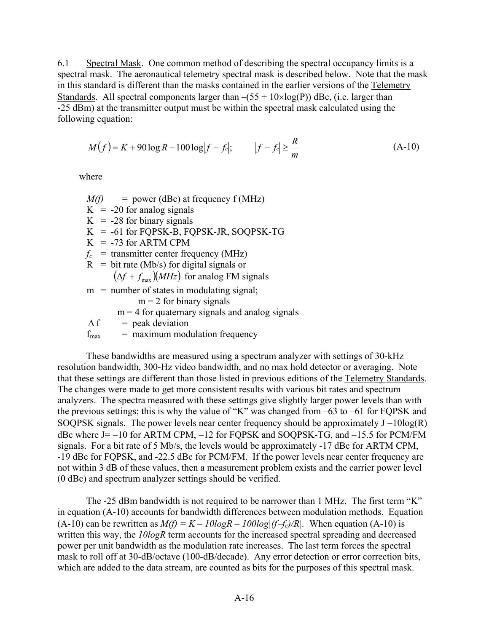6.1 Spectral Mask. One common method of describing the spectral occupancy limits is a spectral mask. The aeronautical telemetry spectral mask is described below. Note that the mask in this standard is different than the masks contained in the earlier versions of the Telemetry Standards. All spectral components larger than  $-(55 + 10 \times \log(P))$  dBc, (i.e. larger than -25 dBm) at the transmitter output must be within the spectral mask calculated using the following equation:

$$
M(f) = K + 90 \log R - 100 \log |f - f_c|; \qquad |f - f_c| \ge \frac{R}{m}
$$
 (A-10)

where

 $M(f)$  = power (dBc) at frequency f (MHz)  $K = -20$  for analog signals  $K = -28$  for binary signals  $K = -61$  for FQPSK-B, FQPSK-JR, SOQPSK-TG  $K = -73$  for ARTM CPM  $f_c$  = transmitter center frequency (MHz)  $R = \text{bit rate (Mb/s) for digital signals or}$  $(\Delta f + f_{\text{max}})(MHz)$  for analog FM signals  $m =$  number of states in modulating signal;  $m = 2$  for binary signals  $m = 4$  for quaternary signals and analog signals  $\Delta f$  = peak deviation

 $f_{\text{max}}$  = maximum modulation frequency

These bandwidths are measured using a spectrum analyzer with settings of 30-kHz resolution bandwidth, 300-Hz video bandwidth, and no max hold detector or averaging. Note that these settings are different than those listed in previous editions of the Telemetry Standards. The changes were made to get more consistent results with various bit rates and spectrum analyzers. The spectra measured with these settings give slightly larger power levels than with the previous settings; this is why the value of "K" was changed from –63 to –61 for FQPSK and SOQPSK signals. The power levels near center frequency should be approximately  $J - 10\log(R)$ dBc where J= −10 for ARTM CPM, −12 for FQPSK and SOQPSK-TG, and −15.5 for PCM/FM signals. For a bit rate of 5 Mb/s, the levels would be approximately -17 dBc for ARTM CPM, -19 dBc for FQPSK, and -22.5 dBc for PCM/FM. If the power levels near center frequency are not within 3 dB of these values, then a measurement problem exists and the carrier power level (0 dBc) and spectrum analyzer settings should be verified.

The -25 dBm bandwidth is not required to be narrower than 1 MHz. The first term "K" in equation (A-10) accounts for bandwidth differences between modulation methods. Equation (A-10) can be rewritten as  $M(f) = K - 10logR - 100log|f-f_c|/R$ . When equation (A-10) is written this way, the *10logR* term accounts for the increased spectral spreading and decreased power per unit bandwidth as the modulation rate increases. The last term forces the spectral mask to roll off at 30-dB/octave (100-dB/decade). Any error detection or error correction bits, which are added to the data stream, are counted as bits for the purposes of this spectral mask.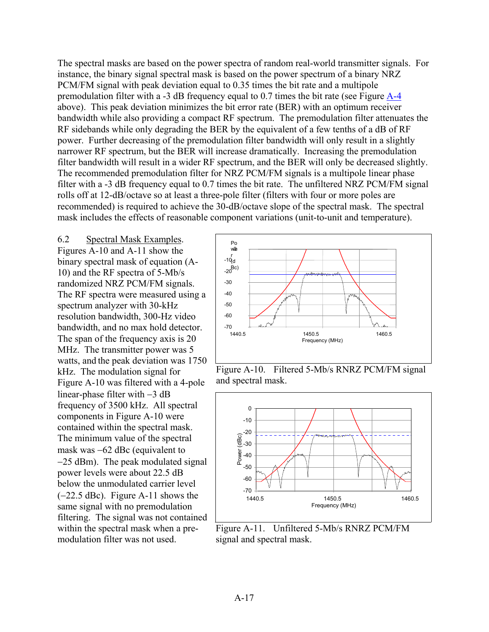<span id="page-18-0"></span>The spectral masks are based on the power spectra of random real-world transmitter signals. For instance, the binary signal spectral mask is based on the power spectrum of a binary NRZ PCM/FM signal with peak deviation equal to 0.35 times the bit rate and a multipole premodulation filter with a -3 dB frequency equal to 0.7 times the bit rate (see Figure [A-4](#page-11-0) above). This peak deviation minimizes the bit error rate (BER) with an optimum receiver bandwidth while also providing a compact RF spectrum. The premodulation filter attenuates the RF sidebands while only degrading the BER by the equivalent of a few tenths of a dB of RF power. Further decreasing of the premodulation filter bandwidth will only result in a slightly narrower RF spectrum, but the BER will increase dramatically. Increasing the premodulation filter bandwidth will result in a wider RF spectrum, and the BER will only be decreased slightly. The recommended premodulation filter for NRZ PCM/FM signals is a multipole linear phase filter with a -3 dB frequency equal to 0.7 times the bit rate. The unfiltered NRZ PCM/FM signal rolls off at 12-dB/octave so at least a three-pole filter (filters with four or more poles are recommended) is required to achieve the 30-dB/octave slope of the spectral mask. The spectral mask includes the effects of reasonable component variations (unit-to-unit and temperature).

6.2 Spectral Mask Examples. Figures A-10 and A-11 show the binary spectral mask of equation (A-10) and the RF spectra of 5-Mb/s randomized NRZ PCM/FM signals. The RF spectra were measured using a spectrum analyzer with 30-kHz resolution bandwidth, 300-Hz video bandwidth, and no max hold detector. The span of the frequency axis is 20 MHz. The transmitter power was 5 watts, and the peak deviation was 1750 kHz. The modulation signal for Figure A-10 was filtered with a 4-pole linear-phase filter with −3 dB frequency of 3500 kHz. All spectral components in Figure A-10 were contained within the spectral mask. The minimum value of the spectral mask was −62 dBc (equivalent to −25 dBm). The peak modulated signal power levels were about 22.5 dB below the unmodulated carrier level (−22.5 dBc). Figure A-11 shows the same signal with no premodulation filtering. The signal was not contained within the spectral mask when a premodulation filter was not used.



Figure A-10. Filtered 5-Mb/s RNRZ PCM/FM signal and spectral mask.



Figure A-11. Unfiltered 5-Mb/s RNRZ PCM/FM signal and spectral mask.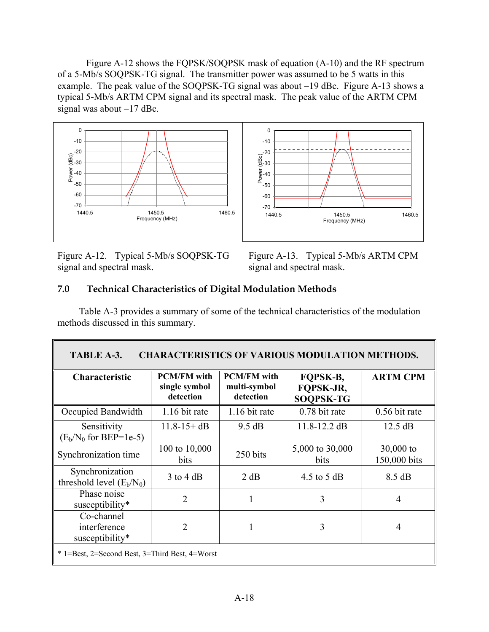<span id="page-19-0"></span>Figure A-12 shows the FQPSK/SOQPSK mask of equation (A-10) and the RF spectrum of a 5-Mb/s SOQPSK-TG signal. The transmitter power was assumed to be 5 watts in this example. The peak value of the SOQPSK-TG signal was about −19 dBc. Figure A-13 shows a typical 5-Mb/s ARTM CPM signal and its spectral mask. The peak value of the ARTM CPM signal was about −17 dBc.



Figure A-12. Typical 5-Mb/s SOQPSK-TG signal and spectral mask.

Figure A-13. Typical 5-Mb/s ARTM CPM signal and spectral mask.

### **7.0 Technical Characteristics of Digital Modulation Methods**

Table A-3 provides a summary of some of the technical characteristics of the modulation methods discussed in this summary.

| <b>CHARACTERISTICS OF VARIOUS MODULATION METHODS.</b><br>TABLE A-3. |                                                  |                                                 |                                           |                             |
|---------------------------------------------------------------------|--------------------------------------------------|-------------------------------------------------|-------------------------------------------|-----------------------------|
| Characteristic                                                      | <b>PCM/FM</b> with<br>single symbol<br>detection | <b>PCM/FM</b> with<br>multi-symbol<br>detection | FQPSK-B,<br>FOPSK-JR,<br><b>SOQPSK-TG</b> | <b>ARTM CPM</b>             |
| Occupied Bandwidth                                                  | 1.16 bit rate                                    | 1.16 bit rate                                   | 0.78 bit rate                             | 0.56 bit rate               |
| Sensitivity<br>$(E_b/N_0 \text{ for BEP=1e-5})$                     | $11.8 - 15 + dB$                                 | 9.5 dB                                          | $11.8 - 12.2$ dB                          | $12.5 \text{ dB}$           |
| Synchronization time                                                | 100 to 10,000<br>bits                            | 250 bits                                        | 5,000 to 30,000<br>bits                   | $30,000$ to<br>150,000 bits |
| Synchronization<br>threshold level $(E_b/N_0)$                      | $3$ to 4 dB                                      | 2 dB                                            | 4.5 to 5 dB                               | 8.5 dB                      |
| Phase noise<br>susceptibility*                                      | 2                                                |                                                 | 3                                         | $\overline{4}$              |
| Co-channel<br>interference<br>susceptibility*                       | 2                                                |                                                 | 3                                         | 4                           |
| * 1=Best, 2=Second Best, 3=Third Best, 4=Worst                      |                                                  |                                                 |                                           |                             |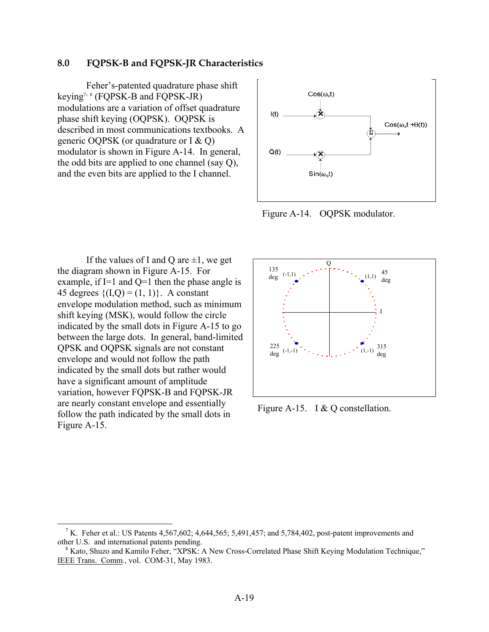#### <span id="page-20-0"></span>**8.0 FQPSK-B and FQPSK-JR Characteristics**

 Feher's-patented quadrature phase shift keying<sup>[7,](#page-20-1)8</sup> (FQPSK-B and FQPSK-JR) modulations are a variation of offset quadrature phase shift keying (OQPSK). OQPSK is described in most communications textbooks. A generic OQPSK (or quadrature or I & Q) modulator is shown in Figure A-14. In general, the odd bits are applied to one channel (say Q), and the even bits are applied to the I channel.



Figure A-14. OQPSK modulator.

If the values of I and Q are  $\pm 1$ , we get the diagram shown in Figure A-15. For example, if I=1 and Q=1 then the phase angle is 45 degrees  $\{(I,Q) = (1, 1)\}\.$  A constant envelope modulation method, such as minimum shift keying (MSK), would follow the circle indicated by the small dots in Figure A-15 to go between the large dots. In general, band-limited QPSK and OQPSK signals are not constant envelope and would not follow the path indicated by the small dots but rather would have a significant amount of amplitude variation, however FQPSK-B and FQPSK-JR are nearly constant envelope and essentially follow the path indicated by the small dots in Figure A-15.

 $\overline{a}$ 



Figure A-15. I & Q constellation.

<span id="page-20-1"></span><sup>&</sup>lt;sup>7</sup> K. Feher et al.: US Patents 4,567,602; 4,644,565; 5,491,457; and 5,784,402, post-patent improvements and other U.S. and international patents pending.

<span id="page-20-2"></span><sup>&</sup>lt;sup>8</sup> Kato, Shuzo and Kamilo Feher, "XPSK: A New Cross-Correlated Phase Shift Keying Modulation Technique," IEEE Trans. Comm*.*, vol. COM-31, May 1983.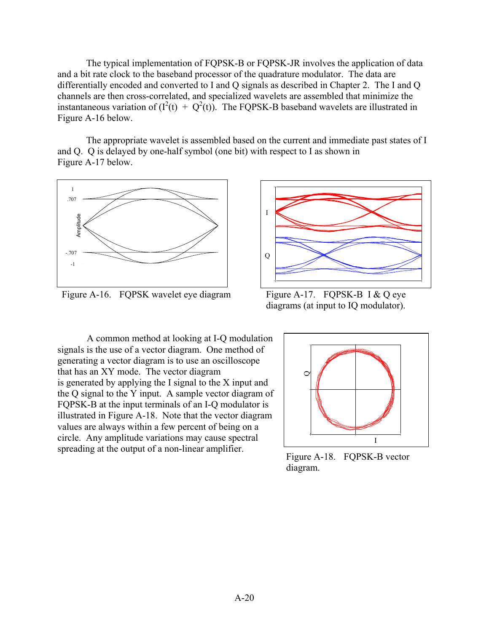<span id="page-21-0"></span>The typical implementation of FQPSK-B or FQPSK-JR involves the application of data and a bit rate clock to the baseband processor of the quadrature modulator. The data are differentially encoded and converted to I and Q signals as described in Chapter 2. The I and Q channels are then cross-correlated, and specialized wavelets are assembled that minimize the instantaneous variation of  $(I^2(t) + Q^2(t))$ . The FQPSK-B baseband wavelets are illustrated in Figure A-16 below.

The appropriate wavelet is assembled based on the current and immediate past states of I and Q. Q is delayed by one-half symbol (one bit) with respect to I as shown in Figure A-17 below.



Figure A-16. FOPSK wavelet eye diagram Figure A-17. FOPSK-B I & O eye



diagrams (at input to IQ modulator).

A common method at looking at I-Q modulation signals is the use of a vector diagram. One method of generating a vector diagram is to use an oscilloscope that has an XY mode. The vector diagram is generated by applying the I signal to the X input and the Q signal to the Y input. A sample vector diagram of FQPSK-B at the input terminals of an I-Q modulator is illustrated in Figure A-18. Note that the vector diagram values are always within a few percent of being on a circle. Any amplitude variations may cause spectral spreading at the output of a non-linear amplifier. Figure A-18. FQPSK-B vector



diagram.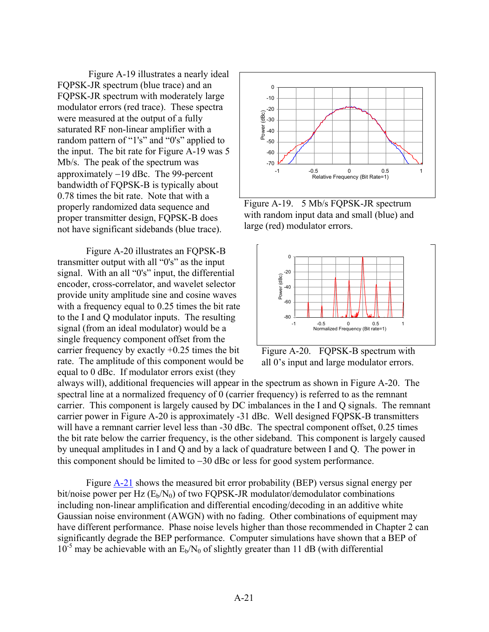<span id="page-22-0"></span> Figure A-19 illustrates a nearly ideal FQPSK-JR spectrum (blue trace) and an FQPSK-JR spectrum with moderately large modulator errors (red trace). These spectra were measured at the output of a fully saturated RF non-linear amplifier with a random pattern of "1's" and "0's" applied to the input. The bit rate for Figure A-19 was 5 Mb/s. The peak of the spectrum was approximately −19 dBc. The 99-percent bandwidth of FQPSK-B is typically about 0.78 times the bit rate. Note that with a properly randomized data sequence and proper transmitter design, FQPSK-B does not have significant sidebands (blue trace).

Figure A-20 illustrates an FQPSK-B transmitter output with all "0's" as the input signal. With an all "0's" input, the differential encoder, cross-correlator, and wavelet selector provide unity amplitude sine and cosine waves with a frequency equal to 0.25 times the bit rate to the I and Q modulator inputs. The resulting signal (from an ideal modulator) would be a single frequency component offset from the carrier frequency by exactly  $+0.25$  times the bit rate. The amplitude of this component would be equal to 0 dBc. If modulator errors exist (they



Figure A-19. 5 Mb/s FQPSK-JR spectrum with random input data and small (blue) and large (red) modulator errors.



Figure A-20. FQPSK-B spectrum with all 0's input and large modulator errors.

always will), additional frequencies will appear in the spectrum as shown in Figure A-20. The spectral line at a normalized frequency of 0 (carrier frequency) is referred to as the remnant carrier. This component is largely caused by DC imbalances in the I and Q signals. The remnant carrier power in Figure A-20 is approximately -31 dBc. Well designed FQPSK-B transmitters will have a remnant carrier level less than -30 dBc. The spectral component offset, 0.25 times the bit rate below the carrier frequency, is the other sideband. This component is largely caused by unequal amplitudes in I and Q and by a lack of quadrature between I and Q. The power in this component should be limited to −30 dBc or less for good system performance.

Figure [A-21](#page-23-0) shows the measured bit error probability (BEP) versus signal energy per bit/noise power per Hz  $(E_b/N_0)$  of two FQPSK-JR modulator/demodulator combinations including non-linear amplification and differential encoding/decoding in an additive white Gaussian noise environment (AWGN) with no fading. Other combinations of equipment may have different performance. Phase noise levels higher than those recommended in Chapter 2 can significantly degrade the BEP performance. Computer simulations have shown that a BEP of  $10^{-5}$  may be achievable with an  $E_b/N_0$  of slightly greater than 11 dB (with differential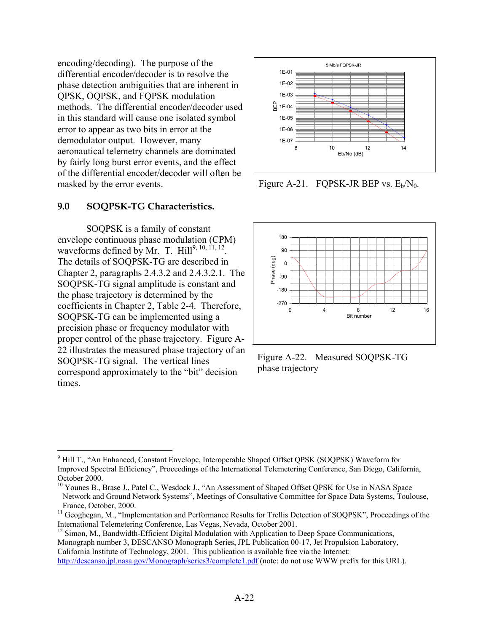<span id="page-23-0"></span>encoding/decoding). The purpose of the differential encoder/decoder is to resolve the phase detection ambiguities that are inherent in QPSK, OQPSK, and FQPSK modulation methods. The differential encoder/decoder used in this standard will cause one isolated symbol error to appear as two bits in error at the demodulator output. However, many aeronautical telemetry channels are dominated by fairly long burst error events, and the effect of the differential encoder/decoder will often be masked by the error events. Figure A-21. FQPSK-JR BEP vs.  $E_b/N_0$ .

#### **9.0 SOQPSK-TG Characteristics.**

SOQPSK is a family of constant envelope continuous phase modulation (CPM) waveforms defined by Mr. T.  $\text{Hill}^{9, 10, 11, 12}$  $\text{Hill}^{9, 10, 11, 12}$  $\text{Hill}^{9, 10, 11, 12}$  $\text{Hill}^{9, 10, 11, 12}$ . The details of SOQPSK-TG are described in Chapter 2, paragraphs 2.4.3.2 and 2.4.3.2.1. The SOQPSK-TG signal amplitude is constant and the phase trajectory is determined by the coefficients in Chapter 2, Table 2-4. Therefore, SOQPSK-TG can be implemented using a precision phase or frequency modulator with proper control of the phase trajectory. Figure A-22 illustrates the measured phase trajectory of an SOQPSK-TG signal. The vertical lines correspond approximately to the "bit" decision times.





Figure A-22. Measured SOQPSK-TG phase trajectory

<span id="page-23-1"></span> $\overline{a}$ <sup>9</sup> Hill T., "An Enhanced, Constant Envelope, Interoperable Shaped Offset QPSK (SOQPSK) Waveform for Improved Spectral Efficiency", Proceedings of the International Telemetering Conference, San Diego, California, October 2000.<br><sup>10</sup> Younes B., Brase J., Patel C., Wesdock J., "An Assessment of Shaped Offset QPSK for Use in NASA Space

<span id="page-23-2"></span>Network and Ground Network Systems", Meetings of Consultative Committee for Space Data Systems, Toulouse,

<span id="page-23-3"></span>France, October, 2000.<br><sup>11</sup> Geoghegan, M., "Implementation and Performance Results for Trellis Detection of SOQPSK", Proceedings of the<br>International Telemetering Conference, Las Vegas, Nevada, October 2001.

<span id="page-23-4"></span> $12$  Simon, M., Bandwidth-Efficient Digital Modulation with Application to Deep Space Communications,

Monograph number 3, DESCANSO Monograph Series, JPL Publication 00-17, Jet Propulsion Laboratory, California Institute of Technology, 2001. This publication is available free via the Internet:

<http://descanso.jpl.nasa.gov/Monograph/series3/complete1.pdf> (note: do not use WWW prefix for this URL).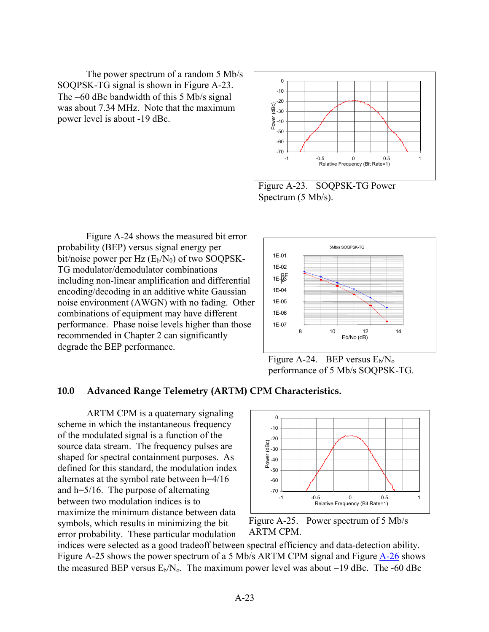<span id="page-24-0"></span>The power spectrum of a random 5 Mb/s SOQPSK-TG signal is shown in Figure A-23. The −60 dBc bandwidth of this 5 Mb/s signal was about 7.34 MHz. Note that the maximum power level is about -19 dBc.



Figure A-23. SOQPSK-TG Power Spectrum (5 Mb/s).

Figure A-24 shows the measured bit error probability (BEP) versus signal energy per bit/noise power per  $Hz$  ( $E_b/N_0$ ) of two SOQPSK-TG modulator/demodulator combinations including non-linear amplification and differential encoding/decoding in an additive white Gaussian noise environment (AWGN) with no fading. Other combinations of equipment may have different performance. Phase noise levels higher than those recommended in Chapter 2 can significantly degrade the BEP performance.



Figure A-24. BEP versus  $E_b/N_o$ performance of 5 Mb/s SOQPSK-TG.

#### **10.0 Advanced Range Telemetry (ARTM) CPM Characteristics.**

 ARTM CPM is a quaternary signaling scheme in which the instantaneous frequency of the modulated signal is a function of the source data stream. The frequency pulses are shaped for spectral containment purposes. As defined for this standard, the modulation index alternates at the symbol rate between h=4/16 and h=5/16. The purpose of alternating between two modulation indices is to maximize the minimum distance between data symbols, which results in minimizing the bit error probability. These particular modulation





indices were selected as a good tradeoff between spectral efficiency and data-detection ability. Figure A-25 shows the power spectrum of a 5 Mb/s ARTM CPM signal and Figure  $\overline{A-26}$  shows the measured BEP versus  $E_b/N_o$ . The maximum power level was about −19 dBc. The -60 dBc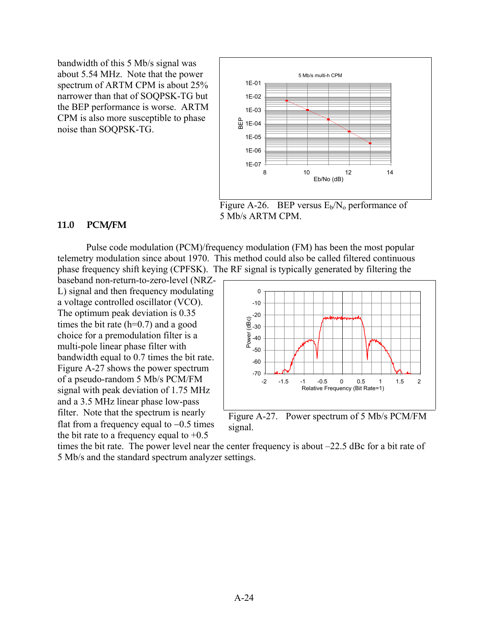<span id="page-25-0"></span>bandwidth of this 5 Mb/s signal was about 5.54 MHz. Note that the power spectrum of ARTM CPM is about 25% narrower than that of SOQPSK-TG but the BEP performance is worse. ARTM CPM is also more susceptible to phase noise than SOQPSK-TG.



Figure A-26. BEP versus  $E_b/N_0$  performance of 5 Mb/s ARTM CPM.

#### **11.0 PCM/FM**

Pulse code modulation (PCM)/frequency modulation (FM) has been the most popular telemetry modulation since about 1970. This method could also be called filtered continuous phase frequency shift keying (CPFSK). The RF signal is typically generated by filtering the

baseband non-return-to-zero-level (NRZ-L) signal and then frequency modulating a voltage controlled oscillator (VCO). The optimum peak deviation is 0.35 times the bit rate  $(h=0.7)$  and a good choice for a premodulation filter is a multi-pole linear phase filter with bandwidth equal to 0.7 times the bit rate. Figure A-27 shows the power spectrum of a pseudo-random 5 Mb/s PCM/FM signal with peak deviation of 1.75 MHz and a 3.5 MHz linear phase low-pass filter. Note that the spectrum is nearly flat from a frequency equal to −0.5 times the bit rate to a frequency equal to  $+0.5$ 



Figure A-27. Power spectrum of 5 Mb/s PCM/FM signal.

times the bit rate. The power level near the center frequency is about –22.5 dBc for a bit rate of 5 Mb/s and the standard spectrum analyzer settings.